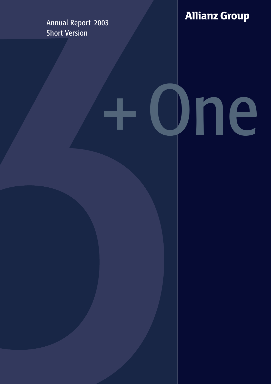Annual Report 2003 Short Version

**Allianz Group** 

# + One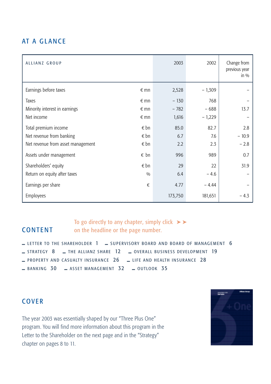# AT A GLANCE

| ALLIANZ GROUP                     |               | 2003    | 2002     | Change from<br>previous year<br>in $\%$ |
|-----------------------------------|---------------|---------|----------|-----------------------------------------|
| Earnings before taxes             | $\epsilon$ mn | 2,528   | $-1,309$ |                                         |
| Taxes                             | $\n  mn\n$    | $-130$  | 768      |                                         |
| Minority interest in earnings     | $\n  mn\n$    | $-782$  | $-688$   | 13.7                                    |
| Net income                        | $\n  mn\n$    | 1,616   | $-1,229$ |                                         |
| Total premium income              | $\notin$ bn   | 85.0    | 82.7     | 2.8                                     |
| Net revenue from banking          | $\notin$ bn   | 6.7     | 7.6      | $-10.9$                                 |
| Net revenue from asset management | $\notin$ bn   | 2.2     | 2.3      | $-2.8$                                  |
| Assets under management           | $\epsilon$ bn | 996     | 989      | 0.7                                     |
| Shareholders' equity              | $\notin$ bn   | 29      | 22       | 31.9                                    |
| Return on equity after taxes      | $\frac{0}{0}$ | 6.4     | $-4.6$   |                                         |
| Earnings per share                | €             | 4.77    | $-4.44$  |                                         |
| Employees                         |               | 173,750 | 181,651  | $-4.3$                                  |

# CONTENT

To go directly to any chapter, simply click  $\triangleright$ on the headline or the page number.

**\_** [LETTER TO THE SHAREHOLDER](#page-2-0) 1 **\_** SUPERVI [SORY BOARD AND BOARD OF MANAGEMENT](#page-7-0) 6 **\_** [STRATEGY](#page-9-0) 8 **\_** [THE ALLIANZ SHARE](#page-13-0) 12 **\_** [OVERALL BUSINESS DEVELOPMENT](#page-20-0) 19 **\_ PROPERTY AND CASUALTY INSURANCE 26 \_ LIFE AND HEALTH INSURANCE 28 \_** [BANKING](#page-31-0) 30 **\_** [ASSET MANAGEMENT](#page-33-0) 32 **\_** [OUTLOOK](#page-36-0) 35

## COVER

The year 2003 was essentially shaped by our "Three Plus One" program. You will find more information about this program in the Letter to the Shareholder on the next page and in [the "Strategy"](#page-9-0) [chapter on pages 8 to 11.](#page-9-0)

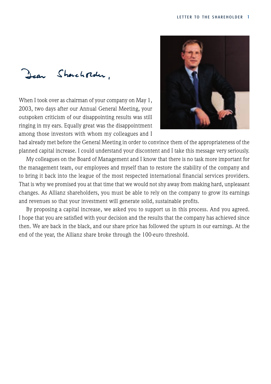<span id="page-2-0"></span>Shareholder.  $\lambda_{\text{max}}$ 

When I took over as chairman of your company on May 1, 2003, two days after our Annual General Meeting, your outspoken criticism of our disappointing results was still ringing in my ears. Equally great was the disappointment among those investors with whom my colleagues and I



had already met before the General Meeting in order to convince them of the appropriateness of the planned capital increase. I could understand your discontent and I take this message very seriously.

My colleagues on the Board of Management and I know that there is no task more important for the management team, our employees and myself than to restore the stability of the company and to bring it back into the league of the most respected international financial services providers. That is why we promised you at that time that we would not shy away from making hard, unpleasant changes. As Allianz shareholders, you must be able to rely on the company to grow its earnings and revenues so that your investment will generate solid, sustainable profits.

By proposing a capital increase, we asked you to support us in this process. And you agreed. I hope that you are satisfied with your decision and the results that the company has achieved since then. We are back in the black, and our share price has followed the upturn in our earnings. At the end of the year, the Allianz share broke through the 100-euro threshold.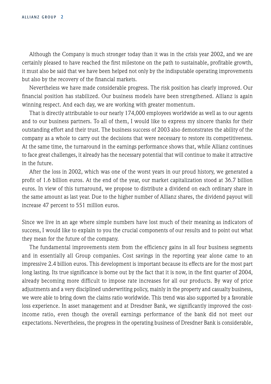Although the Company is much stronger today than it was in the crisis year 2002, and we are certainly pleased to have reached the first milestone on the path to sustainable, profitable growth, it must also be said that we have been helped not only by the indisputable operating improvements but also by the recovery of the financial markets.

Nevertheless we have made considerable progress. The risk position has clearly improved. Our financial position has stabilized. Our business models have been strengthened. Allianz is again winning respect. And each day, we are working with greater momentum.

That is directly attributable to our nearly 174,000 employees worldwide as well as to our agents and to our business partners. To all of them, I would like to express my sincere thanks for their outstanding effort and their trust. The business success of 2003 also demonstrates the ability of the company as a whole to carry out the decisions that were necessary to restore its competitiveness. At the same time, the turnaround in the earnings performance shows that, while Allianz continues to face great challenges, it already has the necessary potential that will continue to make it attractive in the future.

After the loss in 2002, which was one of the worst years in our proud history, we generated a profit of 1.6 billion euros. At the end of the year, our market capitalization stood at 36.7 billion euros. In view of this turnaround, we propose to distribute a dividend on each ordinary share in the same amount as last year. Due to the higher number of Allianz shares, the dividend payout will increase 47 percent to 551 million euros.

Since we live in an age where simple numbers have lost much of their meaning as indicators of success, I would like to explain to you the crucial components of our results and to point out what they mean for the future of the company.

The fundamental improvements stem from the efficiency gains in all four business segments and in essentially all Group companies. Cost savings in the reporting year alone came to an impressive 2.4 billion euros. This development is important because its effects are for the most part long lasting. Its true significance is borne out by the fact that it is now, in the first quarter of 2004, already becoming more difficult to impose rate increases for all our products. By way of price adjustments and a very disciplined underwriting policy, mainly in the property and casualty business, we were able to bring down the claims ratio worldwide. This trend was also supported by a favorable loss experience. In asset management and at Dresdner Bank, we significantly improved the costincome ratio, even though the overall earnings performance of the bank did not meet our expectations. Nevertheless, the progress in the operating business of Dresdner Bank is considerable,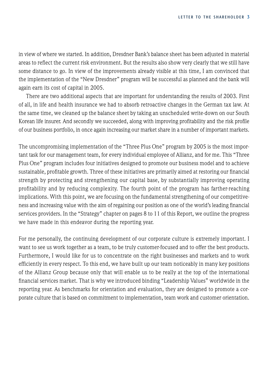in view of where we started. In addition, Dresdner Bank's balance sheet has been adjusted in material areas to reflect the current risk environment. But the results also show very clearly that we still have some distance to go. In view of the improvements already visible at this time, I am convinced that the implementation of the "New Dresdner" program will be successful as planned and the bank will again earn its cost of capital in 2005.

There are two additional aspects that are important for understanding the results of 2003. First of all, in life and health insurance we had to absorb retroactive changes in the German tax law. At the same time, we cleaned up the balance sheet by taking an unscheduled write-down on our South Korean life insurer. And secondly we succeeded, along with improving profitability and the risk profile of our business portfolio, in once again increasing our market share in a number of important markets.

The uncompromising implementation of the "Three Plus One" program by 2005 is the most important task for our management team, for every individual employee of Allianz, and for me. This "Three Plus One" program includes four initiatives designed to promote our business model and to achieve sustainable, profitable growth. Three of these initiatives are primarily aimed at restoring our financial strength by protecting and strengthening our capital base, by substantially improving operating profitability and by reducing complexity. The fourth point of the program has farther-reaching implications. With this point, we are focusing on the fundamental strengthening of our competitiveness and increasing value with the aim of regaining our position as one of the world's leading financial services providers. In the "Strategy" chapter on pages 8 to 11 of this Report, we outline the progress we have made in this endeavor during the reporting year.

For me personally, the continuing development of our corporate culture is extremely important. I want to see us work together as a team, to be truly customer-focused and to offer the best products. Furthermore, I would like for us to concentrate on the right businesses and markets and to work efficiently in every respect. To this end, we have built up our team noticeably in many key positions of the Allianz Group because only that will enable us to be really at the top of the international financial services market. That is why we introduced binding "Leadership Values" worldwide in the reporting year. As benchmarks for orientation and evaluation, they are designed to promote a corporate culture that is based on commitment to implementation, team work and customer orientation.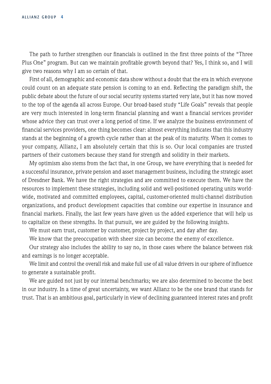The path to further strengthen our financials is outlined in the first three points of the "Three Plus One" program. But can we maintain profitable growth beyond that? Yes, I think so, and I will give two reasons why I am so certain of that.

First of all, demographic and economic data show without a doubt that the era in which everyone could count on an adequate state pension is coming to an end. Reflecting the paradigm shift, the public debate about the future of our social security systems started very late, but it has now moved to the top of the agenda all across Europe. Our broad-based study "Life Goals" reveals that people are very much interested in long-term financial planning and want a financial services provider whose advice they can trust over a long period of time. If we analyze the business environment of financial services providers, one thing becomes clear: almost everything indicates that this industry stands at the beginning of a growth cycle rather than at the peak of its maturity. When it comes to your company, Allianz, I am absolutely certain that this is so. Our local companies are trusted partners of their customers because they stand for strength and solidity in their markets.

My optimism also stems from the fact that, in one Group, we have everything that is needed for a successful insurance, private pension and asset management business, including the strategic asset of Dresdner Bank. We have the right strategies and are committed to execute them. We have the resources to implement these strategies, including solid and well-positioned operating units worldwide, motivated and committed employees, capital, customer-oriented multi-channel distribution organizations, and product development capacities that combine our expertise in insurance and financial markets. Finally, the last few years have given us the added experience that will help us to capitalize on these strengths. In that pursuit, we are guided by the following insights.

We must earn trust, customer by customer, project by project, and day after day.

We know that the preoccupation with sheer size can become the enemy of excellence.

Our strategy also includes the ability to say no, in those cases where the balance between risk and earnings is no longer acceptable.

We limit and control the overall risk and make full use of all value drivers in our sphere of influence to generate a sustainable profit.

We are guided not just by our internal benchmarks; we are also determined to become the best in our industry. In a time of great uncertainty, we want Allianz to be the one brand that stands for trust. That is an ambitious goal, particularly in view of declining guaranteed interest rates and profit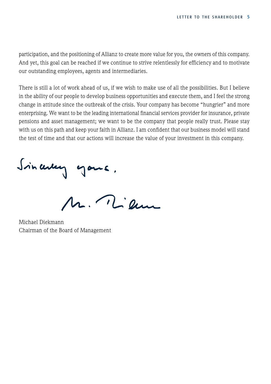participation, and the positioning of Allianz to create more value for you, the owners of this company. And yet, this goal can be reached if we continue to strive relentlessly for efficiency and to motivate our outstanding employees, agents and intermediaries.

There is still a lot of work ahead of us, if we wish to make use of all the possibilities. But I believe in the ability of our people to develop business opportunities and execute them, and I feel the strong change in attitude since the outbreak of the crisis. Your company has become "hungrier" and more enterprising. We want to be the leading international financial services provider for insurance, private pensions and asset management; we want to be the company that people really trust. Please stay with us on this path and keep your faith in Allianz. I am confident that our business model will stand the test of time and that our actions will increase the value of your investment in this company.

Sincerey yours.

2. Vilum

Michael Diekmann Chairman of the Board of Management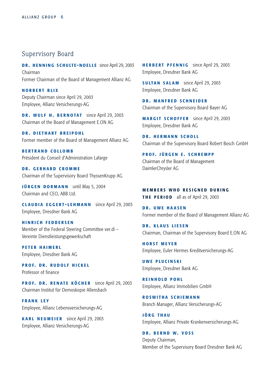## <span id="page-7-0"></span>Supervisory Board

DR. HENNING SCHULTE-NOELLE since April 29, 2003 Chairman Former Chairman of the Board of Management Allianz AG

NORBERT BLIX Deputy Chairman since April 29, 2003 Employee, Allianz Versicherungs-AG

DR. WULF H. BERNOTAT since April 29, 2003 Chairman of the Board of Management E.ON AG

DR. DIETHART BREIPOHL Former member of the Board of Management Allianz AG

BERTRAND COLLOMB Président du Conseil d'Administration Lafarge

DR. GERHARD CROMME Chairman of the Supervisory Board ThyssenKrupp AG

JÜRGEN DORMANN until May 5, 2004 Chairman and CEO, ABB Ltd.

CLAUDIA EGGERT - LEHMANN since April 29, 2003 Employee, Dresdner Bank AG

HINRICH FEDDERSEN Member of the Federal Steering Committee ver.di – Vereinte Dienstleistungsgewerkschaft

PETER HAIMERL Employee, Dresdner Bank AG

PROF. DR. RUDOLF HICKEL Professor of finance

PROF. DR. RENATE KÖCHER since April 29, 2003 Chairman Institut für Demoskopie Allensbach

FRANK LEY Employee, Allianz Lebensversicherungs-AG

KARL NEUMEIER since April 29, 2003 Employee, Allianz Versicherungs-AG

HERBERT PFENNIG since April 29, 2003 Employee, Dresdner Bank AG

SULTAN SALAM since April 29, 2003 Employee, Dresdner Bank AG

DR. MANFRED SCHNEIDER Chairman of the Supervisory Board Bayer AG

MARGIT SCHOFFER since April 29, 2003 Employee, Dresdner Bank AG

DR. HERMANN SCHOLL Chairman of the Supervisory Board Robert Bosch GmbH

PROF. JÜRGEN E. SCHREMPP Chairman of the Board of Management DaimlerChrysler AG

## MEMBERS WHO RESIGNED DURING THE PERIOD all as of April 29, 2003

DR. UWE HAASEN Former member of the Board of Management Allianz AG

DR. KLAUS LIESEN Chairman, Chairman of the Supervisory Board E.ON AG

HORST MEYER Employee, Euler Hermes Kreditversicherungs-AG

UWE PLUCINSKI Employee, Dresdner Bank AG

REINHOLD POHL Employee, Allianz Immobilien GmbH

ROSWITHA SCHIEMANN Branch Manager, Allianz Versicherungs-AG

JÖRG THAU Employee, Allianz Private Krankenversicherungs-AG

DR. BERND W. VOSS Deputy Chairman, Member of the Supervisory Board Dresdner Bank AG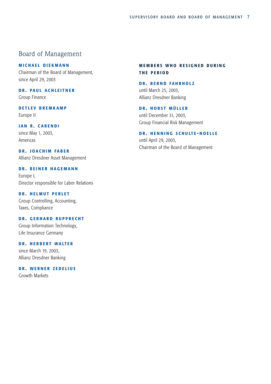## Board of Management

MICHAEL DIEKMANN Chairman of the Board of Management, since April 29, 2003

DR. PAUL ACHLEITNER Group Finance

DETLEV BREMKAMP Europe II

## JAN R. CARENDI since May 1, 2003, Americas

DR. JOACHIM FABER Allianz Dresdner Asset Management

## DR. REINER HAGEMANN Europe I, Director responsible for Labor Relations

DR. HELMUT PERLET

Group Controlling, Accounting, Taxes, Compliance

## DR. GERHARD RUPPRECHT

Group Information Technology, Life Insurance Germany

# DR. HERBERT WALTER

since March 19, 2003, Allianz Dresdner Banking

DR. WERNER ZEDELIUS Growth Markets

## MEMBERS WHO RESIGNED DURING THE PERIOD

DR. BERND FAHRHOLZ until March 25, 2003, Allianz Dresdner Banking

#### DR. HORST MÜLLER

until December 31, 2003, Group Financial Risk Management

## DR. HENNING SCHULTE-NOELLE

until April 29, 2003, Chairman of the Board of Management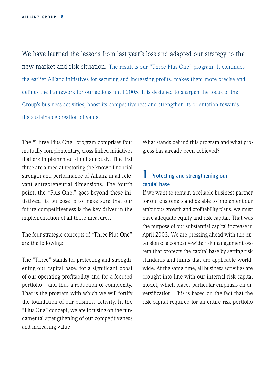<span id="page-9-0"></span>We have learned the lessons from last year's loss and adapted our strategy to the new market and risk situation. The result is our "Three Plus One" program. It continues the earlier Allianz initiatives for securing and increasing profits, makes them more precise and defines the framework for our actions until 2005. It is designed to sharpen the focus of the Group's business activities, boost its competitiveness and strengthen its orientation towards the sustainable creation of value.

The "Three Plus One" program comprises four mutually complementary, cross-linked initiatives that are implemented simultaneously. The first three are aimed at restoring the known financial strength and performance of Allianz in all relevant entrepreneurial dimensions. The fourth point, the "Plus One," goes beyond these initiatives. Its purpose is to make sure that our future competitiveness is the key driver in the implementation of all these measures.

The four strategic concepts of "Three Plus One" are the following:

The "Three" stands for protecting and strengthening our capital base, for a significant boost of our operating profitability and for a focused portfolio – and thus a reduction of complexity. That is the program with which we will fortify the foundation of our business activity. In the "Plus One" concept, we are focusing on the fundamental strengthening of our competitiveness and increasing value.

What stands behind this program and what progress has already been achieved?

## 1 Protecting and strengthening our capital base

If we want to remain a reliable business partner for our customers and be able to implement our ambitious growth and profitability plans, we must have adequate equity and risk capital. That was the purpose of our substantial capital increase in April 2003. We are pressing ahead with the extension of a company-wide risk management system that protects the capital base by setting risk standards and limits that are applicable worldwide. At the same time, all business activities are brought into line with our internal risk capital model, which places particular emphasis on diversification. This is based on the fact that the risk capital required for an entire risk portfolio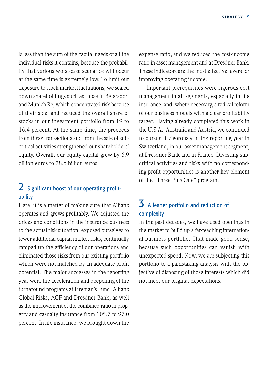is less than the sum of the capital needs of all the individual risks it contains, because the probability that various worst-case scenarios will occur at the same time is extremely low. To limit our exposure to stock market fluctuations, we scaled down shareholdings such as those in Beiersdorf and Munich Re, which concentrated risk because of their size, and reduced the overall share of stocks in our investment portfolio from 19 to 16.4 percent. At the same time, the proceeds from these transactions and from the sale of subcritical activities strengthened our shareholders' equity. Overall, our equity capital grew by 6.9 billion euros to 28.6 billion euros.

# 2 Significant boost of our operating profitability

Here, it is a matter of making sure that Allianz operates and grows profitably. We adjusted the prices and conditions in the insurance business to the actual risk situation, exposed ourselves to fewer additional capital market risks, continually ramped up the efficiency of our operations and eliminated those risks from our existing portfolio which were not matched by an adequate profit potential. The major successes in the reporting year were the acceleration and deepening of the turnaround programs at Fireman's Fund, Allianz Global Risks, AGF and Dresdner Bank, as well as the improvement of the combined ratio in property and casualty insurance from 105.7 to 97.0 percent. In life insurance, we brought down the expense ratio, and we reduced the cost-income ratio in asset management and at Dresdner Bank. These indicators are the most effective levers for improving operating income.

Important prerequisites were rigorous cost management in all segments, especially in life insurance, and, where necessary, a radical reform of our business models with a clear profitability target. Having already completed this work in the U.S.A., Australia and Austria, we continued to pursue it vigorously in the reporting year in Switzerland, in our asset management segment, at Dresdner Bank and in France. Divesting subcritical activities and risks with no corresponding profit opportunities is another key element of the "Three Plus One" program.

# $\overline{3}$  A leaner portfolio and reduction of complexity

In the past decades, we have used openings in the market to build up a far-reaching international business portfolio. That made good sense, because such opportunities can vanish with unexpected speed. Now, we are subjecting this portfolio to a painstaking analysis with the objective of disposing of those interests which did not meet our original expectations.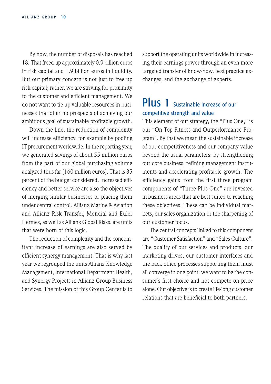By now, the number of disposals has reached 18. That freed up approximately 0.9 billion euros in risk capital and 1.9 billion euros in liquidity. But our primary concern is not just to free up risk capital; rather, we are striving for proximity to the customer and efficient management. We do not want to tie up valuable resources in businesses that offer no prospects of achieving our ambitious goal of sustainable profitable growth.

Down the line, the reduction of complexity will increase efficiency, for example by pooling IT procurement worldwide. In the reporting year, we generated savings of about 55 million euros from the part of our global purchasing volume analyzed thus far (160 million euros). That is 35 percent of the budget considered. Increased efficiency and better service are also the objectives of merging similar businesses or placing them under central control. Allianz Marine & Aviation and Allianz Risk Transfer, Mondial and Euler Hermes, as well as Allianz Global Risks, are units that were born of this logic.

The reduction of complexity and the concomitant increase of earnings are also served by efficient synergy management. That is why last year we regrouped the units Allianz Knowledge Management, International Department Health, and Synergy Projects in Allianz Group Business Services. The mission of this Group Center is to

support the operating units worldwide in increasing their earnings power through an even more targeted transfer of know-how, best practice exchanges, and the exchange of experts.

# Plus 1 Sustainable increase of our competitive strength and value

This element of our strategy, the "Plus One," is our "On Top Fitness and Outperformance Program". By that we mean the sustainable increase of our competitiveness and our company value beyond the usual parameters: by strengthening our core business, refining management instruments and accelerating profitable growth. The efficiency gains from the first three program components of "Three Plus One" are invested in business areas that are best suited to reaching these objectives. These can be individual markets, our sales organization or the sharpening of our customer focus.

The central concepts linked to this component are "Customer Satisfaction" and "Sales Culture". The quality of our services and products, our marketing drives, our customer interfaces and the back office processes supporting them must all converge in one point: we want to be the consumer's first choice and not compete on price alone. Our objective is to create life-long customer relations that are beneficial to both partners.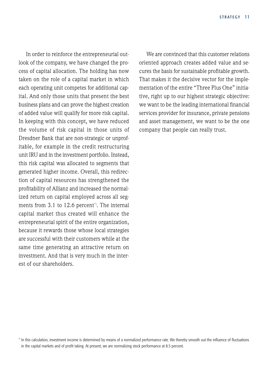In order to reinforce the entrepreneurial outlook of the company, we have changed the process of capital allocation. The holding has now taken on the role of a capital market in which each operating unit competes for additional capital. And only those units that present the best business plans and can prove the highest creation of added value will qualify for more risk capital. In keeping with this concept, we have reduced the volume of risk capital in those units of Dresdner Bank that are non-strategic or unprofitable, for example in the credit restructuring unit IRU and in the investment portfolio. Instead, this risk capital was allocated to segments that generated higher income. Overall, this redirection of capital resources has strengthened the profitability of Allianz and increased the normalized return on capital employed across all segments from 3.1 to 12.6 percent<sup>\*</sup>). The internal capital market thus created will enhance the entrepreneurial spirit of the entire organization, because it rewards those whose local strategies are successful with their customers while at the same time generating an attractive return on investment. And that is very much in the interest of our shareholders.

We are convinced that this customer relations oriented approach creates added value and secures the basis for sustainable profitable growth. That makes it the decisive vector for the implementation of the entire "Three Plus One" initiative, right up to our highest strategic objective: we want to be the leading international financial services provider for insurance, private pensions and asset management, we want to be the one company that people can really trust.

<sup>\*)</sup> In this calculation, investment income is determined by means of a normalized performance rate. We thereby smooth out the influence of fluctuations in the capital markets and of profit taking. At present, we are normalizing stock performance at 8.5 percent.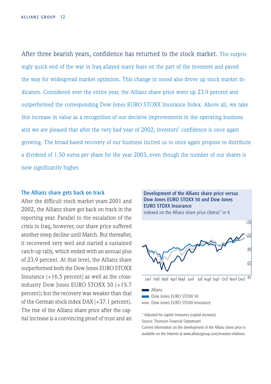<span id="page-13-0"></span>After three bearish years, confidence has returned to the stock market. The surprisingly quick end of the war in Iraq allayed many fears on the part of the investors and paved the way for widespread market optimism. This change in mood also drove up stock market indicators. Considered over the entire year, the Allianz share price went up 23.9 percent and outperformed the corresponding Dow Jones EURO STOXX Insurance Index. Above all, we take this increase in value as a recognition of our decisive improvements in the operating business and we are pleased that after the very bad year of 2002, investors' confidence is once again growing. The broad-based recovery of our business incited us to once again propose to distribute a dividend of 1.50 euros per share for the year 2003, even though the number of our shares is now significantly higher.

## The Allianz share gets back on track

After the difficult stock market years 2001 and 2002, the Allianz share got back on track in the reporting year. Parallel to the escalation of the crisis in Iraq, however, our share price suffered another steep decline until March. But thereafter, it recovered very well and started a sustained catch-up rally, which ended with an annual plus of 23.9 percent. At that level, the Allianz share outperformed both the Dow Jones EURO STOXX Insurance  $(+16.5$  percent) as well as the crossindustry Dow Jones EURO STOXX 50 (+15.7 percent); but the recovery was weaker than that of the German stock index DAX (+37.1 percent). The rise of the Allianz share price after the capital increase is a convincing proof of trust and an



Current information on the development of the Allianz share price is available on the Internet at www.allianzgroup.com/investor-relations.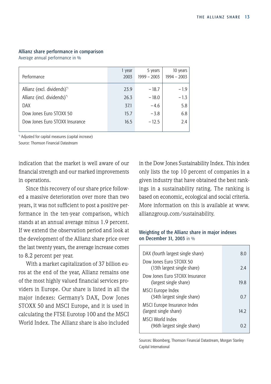## Allianz share performance in comparison

Average annual performance in %

|                                | 1 year | 5 years       | 10 years      |
|--------------------------------|--------|---------------|---------------|
| Performance                    | 2003   | $1999 - 2003$ | $1994 - 2003$ |
| Allianz (excl. dividends)*)    | 23.9   | $-18.7$       | $-1.9$        |
| Allianz (incl. dividends)*)    | 26.3   | $-18.0$       | $-1.3$        |
| DAX.                           | 37.1   | $-4.6$        | 5.8           |
| Dow Jones Euro STOXX 50        | 15.7   | $-3.8$        | 6.8           |
| Dow Jones Euro STOXX Insurance | 16.5   | $-12.5$       | 24            |
|                                |        |               |               |

\*) Adjusted for capital measures (capital increase)

Source: Thomson Financial Datastream

indication that the market is well aware of our financial strength and our marked improvements in operations.

Since this recovery of our share price followed a massive deterioration over more than two years, it was not sufficient to post a positive performance in the ten-year comparison, which stands at an annual average minus 1.9 percent. If we extend the observation period and look at the development of the Allianz share price over the last twenty years, the average increase comes to 8.2 percent per year.

With a market capitalization of 37 billion euros at the end of the year, Allianz remains one of the most highly valued financial services providers in Europe. Our share is listed in all the major indexes: Germany's DAX, Dow Jones STOXX 50 and MSCI Europe, and it is used in calculating the FTSE Eurotop 100 and the MSCI World Index. The Allianz share is also included in the Dow Jones Sustainability Index. This index only lists the top 10 percent of companies in a given industry that have obtained the best rankings in a sustainability rating. The ranking is based on economic, ecological and social criteria. More information on this is available at www. allianzgroup.com/sustainability.

## Weighting of the Allianz share in major indexes on December 31, 2003 in %

| DAX (fourth largest single share)                        | 80   |
|----------------------------------------------------------|------|
| Dow Jones Furo STOXX 50<br>(13th largest single share)   | 24   |
| Dow Jones Euro STOXX Insurance<br>(largest single share) | 19 R |
| MSCI Europe Index<br>(34th largest single share)         | 0.7  |
| MSCI Europe Insurance Index<br>(largest single share)    | 142  |
| MSCI World Index<br>(96th largest single share)          |      |

Sources: Bloomberg, Thomson Financial Datastream, Morgan Stanley Capital International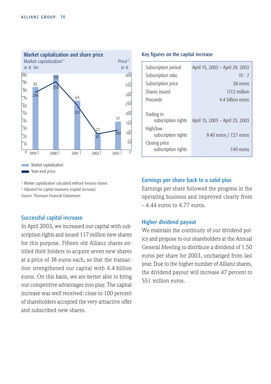

1) Market capitalization calculated without treasury shares 2) Adjusted for capital measures (capital increase) Source: Thomson Financial Datastream

## Successful capital increase

In April 2003, we increased our capital with subscription rights and issued 117 million new shares for this purpose. Fifteen old Allianz shares entitled their holders to acquire seven new shares at a price of 38 euros each, so that the transaction strengthened our capital with 4.4 billion euros. On this basis, we are better able to bring our competitive advantages into play. The capital increase was well received: close to 100 percent of shareholders accepted the very attractive offer and subscribed new shares.

#### Key figures on the capital increase

| Subscription period<br>Subscription ratio | April 15, 2003 - April 29, 2003<br>$15 \cdot 7$ |
|-------------------------------------------|-------------------------------------------------|
| Subscription price                        | 38 euros                                        |
| Shares issued                             | 1172 million                                    |
| Proceeds                                  | 44 billion euros                                |
| Trading in<br>subscription rights         | April 15, 2003 - April 25, 2003                 |
| High/low<br>subscription rights           | 9.40 euros / 7.27 euros                         |
| Closing price<br>subscription rights      | 740 euros                                       |

## Earnings per share back to a solid plus

Earnings per share followed the progress in the operating business and improved clearly from  $-4.44$  euros to  $4.77$  euros.

## Higher dividend payout

We maintain the continuity of our dividend policy and propose to our shareholders at the Annual General Meeting to distribute a dividend of 1.50 euros per share for 2003, unchanged from last year. Due to the higher number of Allianz shares, the dividend payout will increase 47 percent to 551 million euros.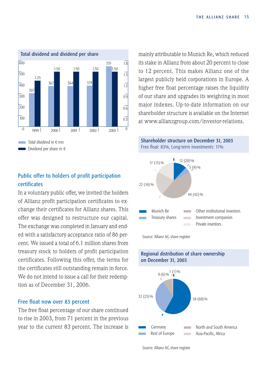

## Public offer to holders of profit participation certificates

In a voluntary public offer, we invited the holders of Allianz profit participation certificates to exchange their certificates for Allianz shares. This offer was designed to restructure our capital. The exchange was completed in January and ended with a satisfactory acceptance ratio of 86 percent. We issued a total of 6.1 million shares from treasury stock to holders of profit participation certificates. Following this offer, the terms for the certificates still outstanding remain in force. We do not intend to issue a call for their redemption as of December 31, 2006.

## Free float now over 83 percent

The free float percentage of our share continued to rise in 2003, from 71 percent in the previous year to the current 83 percent. The increase is mainly attributable to Munich Re, which reduced its stake in Allianz from about 20 percent to close to 12 percent. This makes Allianz one of the largest publicly held corporations in Europe. A higher free float percentage raises the liquidity of our share and upgrades its weighting in most major indexes. Up-to-date information on our shareholder structure is available on the Internet at www.allianzgroup.com/investor-relations.





Source: Allianz AG share register



## Regional distribution of share ownership on December 31, 2003

Source: Allianz AG share register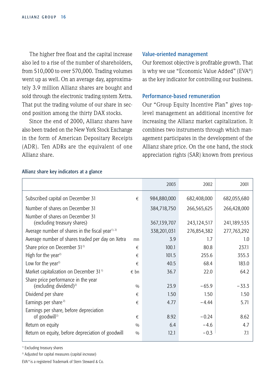The higher free float and the capital increase also led to a rise of the number of shareholders, from 510,000 to over 570,000. Trading volumes went up as well. On an average day, approximately 3.9 million Allianz shares are bought and sold through the electronic trading system Xetra. That put the trading volume of our share in second position among the thirty DAX stocks.

Since the end of 2000, Allianz shares have also been traded on the New York Stock Exchange in the form of American Depositary Receipts (ADR). Ten ADRs are the equivalent of one Allianz share.

#### Value-oriented management

Our foremost objective is profitable growth. That is why we use "Economic Value Added" (EVA®) as the key indicator for controlling our business.

## Performance-based remuneration

Our "Group Equity Incentive Plan" gives toplevel management an additional incentive for increasing the Allianz market capitalization. It combines two instruments through which management participates in the development of the Allianz share price. On the one hand, the stock appreciation rights (SAR) known from previous

|                                                                           |             | 2003        | 2002        | 2001        |
|---------------------------------------------------------------------------|-------------|-------------|-------------|-------------|
| Subscribed capital on December 31                                         | €           | 984,880,000 | 682,408,000 | 682,055,680 |
| Number of shares on December 31                                           |             | 384,718,750 | 266,565,625 | 266,428,000 |
| Number of shares on December 31<br>(excluding treasury shares)            |             | 367,139,707 | 243,124,517 | 241,189,535 |
| Average number of shares in the fiscal year <sup>1), 2)</sup>             |             | 338,201,031 | 276,854,382 | 277,763,292 |
| Average number of shares traded per day on Xetra                          | mn          | 3.9         | 1.7         | 1.0         |
| Share price on December 31 <sup>2)</sup>                                  | €           | 100.1       | 80.8        | 237.1       |
| High for the year <sup>2)</sup>                                           | €           | 101.5       | 255.6       | 355.3       |
| Low for the year <sup>2)</sup>                                            | €           | 40.5        | 68.4        | 183.0       |
| Market capitalization on December 31 <sup>1)</sup>                        | $\notin$ bn | 36.7        | 22.0        | 64.2        |
| Share price performance in the year<br>(excluding dividend) <sup>2)</sup> | 0/0         | 23.9        | $-65.9$     | $-33.3$     |
| Dividend per share                                                        | €           | 1.50        | 1.50        | 1.50        |
| Earnings per share <sup>2)</sup>                                          | €           | 4.77        | $-4.44$     | 5.71        |
| Earnings per share, before depreciation                                   |             |             |             |             |
| of goodwill <sup>2)</sup>                                                 | €           | 8.92        | $-0.24$     | 8.62        |
| Return on equity                                                          | 0/0         | 6.4         | $-4.6$      | 4.7         |
| Return on equity, before depreciation of goodwill                         | 0/0         | 12.1        | $-0.3$      | 7.1         |

#### Allianz share key indicators at a glance

<sup>1)</sup> Excluding treasury shares

EVA ® is a registered Trademark of Stern Steward & Co.

<sup>2)</sup> Adjusted for capital measures (capital increase)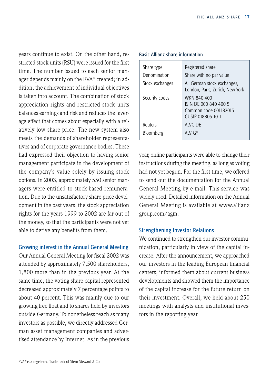years continue to exist. On the other hand, restricted stock units (RSU) were issued for the first time. The number issued to each senior manager depends mainly on the EVA® created; in addition, the achievement of individual objectives is taken into account. The combination of stock appreciation rights and restricted stock units balances earnings and risk and reduces the leverage effect that comes about especially with a relatively low share price. The new system also meets the demands of shareholder representatives and of corporate governance bodies. These had expressed their objection to having senior management participate in the development of the company's value solely by issuing stock options. In 2003, approximately 550 senior managers were entitled to stock-based remuneration. Due to the unsatisfactory share price development in the past years, the stock appreciation rights for the years 1999 to 2002 are far out of the money, so that the participants were not yet able to derive any benefits from them.

#### Growing interest in the Annual General Meeting

Our Annual General Meeting for fiscal 2002 was attended by approximately 7,500 shareholders, 1,800 more than in the previous year. At the same time, the voting share capital represented decreased approximately 7 percentage points to about 40 percent. This was mainly due to our growing free float and to shares held by investors outside Germany. To nonetheless reach as many investors as possible, we directly addressed German asset management companies and advertised attendance by Internet. As in the previous

## Basic Allianz share information

| Share type<br>Denomination | Registered share<br>Share with no par value                                        |
|----------------------------|------------------------------------------------------------------------------------|
| Stock exchanges            | All German stock exchanges,<br>London, Paris, Zurich, New York                     |
| Security codes             | WKN 840 400<br>ISIN DE 000 840 400 5<br>Common code 001182013<br>CUSIP 018805 10 1 |
| Reuters                    | AIVG DE                                                                            |
| Bloomberg                  | AIV GY                                                                             |

year, online participants were able to change their instructions during the meeting, as long as voting had not yet begun. For the first time, we offered to send out the documentation for the Annual General Meeting by e-mail. This service was widely used. Detailed information on the Annual General Meeting is available at www.allianz group.com/agm.

## Strengthening Investor Relations

We continued to strengthen our investor communication, particularly in view of the capital increase. After the announcement, we approached our investors in the leading European financial centers, informed them about current business developments and showed them the importance of the capital increase for the future return on their investment. Overall, we held about 250 meetings with analysts and institutional investors in the reporting year.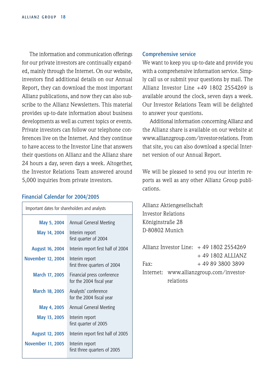The information and communication offerings for our private investors are continually expanded, mainly through the Internet. On our website, investors find additional details on our Annual Report, they can download the most important Allianz publications, and now they can also subscribe to the Allianz Newsletters. This material provides up-to-date information about business developments as well as current topics or events. Private investors can follow our telephone conferences live on the Internet. And they continue to have access to the Investor Line that answers their questions on Allianz and the Allianz share 24 hours a day, seven days a week. Altogether, the Investor Relations Team answered around 5,000 inquiries from private investors.

## Financial Calendar for 2004/2005

| Important dates for shareholders and analysts |                                                        |  |  |
|-----------------------------------------------|--------------------------------------------------------|--|--|
| May 5, 2004                                   | Annual General Meeting                                 |  |  |
| May 14, 2004                                  | Interim report<br>first quarter of 2004                |  |  |
| August 16, 2004                               | Interim report first half of 2004                      |  |  |
| November 12, 2004                             | Interim report<br>first three quarters of 2004         |  |  |
| March 17, 2005                                | Financial press conference<br>for the 2004 fiscal year |  |  |
| March 18, 2005                                | Analysts' conference<br>for the 2004 fiscal year       |  |  |
| May 4, 2005                                   | Annual General Meeting                                 |  |  |
| May 13, 2005                                  | Interim report<br>first quarter of 2005                |  |  |
| <b>August 12, 2005</b>                        | Interim report first half of 2005                      |  |  |
| November 11, 2005                             | Interim report<br>first three quarters of 2005         |  |  |

#### Comprehensive service

We want to keep you up-to-date and provide you with a comprehensive information service. Simply call us or submit your questions by mail. The Allianz Investor Line +49 1802 2554269 is available around the clock, seven days a week. Our Investor Relations Team will be delighted to answer your questions.

Additional information concerning Allianz and the Allianz share is available on our website at www.allianzgroup.com/investor-relations. From that site, you can also download a special Internet version of our Annual Report.

We will be pleased to send you our interim reports as well as any other Allianz Group publications.

Allianz Aktiengesellschaft Investor Relations Königinstraße 28 D-80802 Munich

|      |           | Allianz Investor Line: +49 1802 2554269  |
|------|-----------|------------------------------------------|
|      |           | $+49$ 1802 ALLIANZ                       |
| Fax: |           | +49 89 3800 3899                         |
|      |           | Internet: www.allianzgroup.com/investor- |
|      | relations |                                          |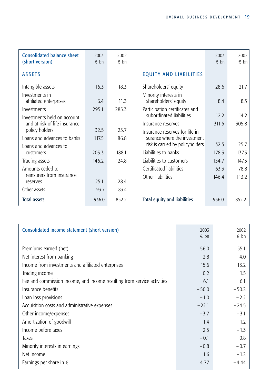<span id="page-20-0"></span>

| <b>Consolidated balance sheet</b><br>(short version) | 2003<br>$\epsilon$ bn | 2002<br>$\epsilon$ bn |                                                                 | 2003<br>$\epsilon$ bn | 2002<br>$\epsilon$ bn |
|------------------------------------------------------|-----------------------|-----------------------|-----------------------------------------------------------------|-----------------------|-----------------------|
| <b>ASSETS</b>                                        |                       |                       | <b>EQUITY AND LIABILITIES</b>                                   |                       |                       |
| Intangible assets                                    | 16.3                  | 18.3                  | Shareholders' equity                                            | 28.6                  | 21.7                  |
| Investments in<br>affiliated enterprises             | 6.4                   | 11 <sub>3</sub>       | Minority interests in<br>shareholders' equity                   | 8.4                   | 8.3                   |
| Investments                                          | 295.1                 | 285.3                 | Participation certificates and                                  |                       |                       |
| Investments held on account                          |                       |                       | subordinated liabilities                                        | 122                   | 14.2                  |
| and at risk of life insurance<br>policy holders      | 32.5                  | 25.7                  | Insurance reserves                                              | 311.5                 | 305.8                 |
| Loans and advances to banks                          | 117.5                 | 86.8                  | Insurance reserves for life in-<br>surance where the investment |                       |                       |
| Loans and advances to                                |                       |                       | risk is carried by policyholders                                | 32.5                  | 25.7                  |
| customers                                            | 203.3                 | 188.1                 | Liabilities to banks                                            | 178.3                 | 137.3                 |
| Trading assets                                       | 146.2                 | 124.8                 | Liabilities to customers                                        | 1547                  | 147.3                 |
| Amounts ceded to                                     |                       |                       | Certificated liabilities                                        | 633                   | 78.8                  |
| reinsurers from insurance                            |                       |                       | Other liabilities                                               | 146.4                 | 113.2                 |
| reserves                                             | 25.1                  | 28.4                  |                                                                 |                       |                       |
| Other assets                                         | 93.7                  | 83.4                  |                                                                 |                       |                       |
| <b>Total assets</b>                                  | 936.0                 | 852.2                 | Total equity and liabilities                                    | 936.0                 | 852.2                 |

| Consolidated income statement (short version)                           | 2003<br>$\epsilon$ bn | 2002<br>$\epsilon$ bn |
|-------------------------------------------------------------------------|-----------------------|-----------------------|
| Premiums earned (net)                                                   | 56.0                  | 55.1                  |
| Net interest from banking                                               | 2.8                   | 4.0                   |
| Income from investments and affiliated enterprises                      | 15.6                  | 13.2                  |
| Trading income                                                          | 0.2                   | 1.5                   |
| Fee and commission income, and income resulting from service activities | 6.1                   | 6.1                   |
| Insurance benefits                                                      | $-50.0$               | $-50.2$               |
| Loan loss provisions                                                    | $-1.0$                | $-2.2$                |
| Acquisition costs and administrative expenses                           | $-22.1$               | $-24.5$               |
| Other income/expenses                                                   | $-3.7$                | $-3.1$                |
| Amortization of goodwill                                                | $-1.4$                | $-1.2$                |
| Income before taxes                                                     | 2.5                   | $-1.3$                |
| Taxes                                                                   | $-0.1$                | 0.8                   |
| Minority interests in earnings                                          | $-0.8$                | $-0.7$                |
| Net income                                                              | 1.6                   | $-1.2$                |
| Earnings per share in $\epsilon$                                        | 4.77                  | $-4.44$               |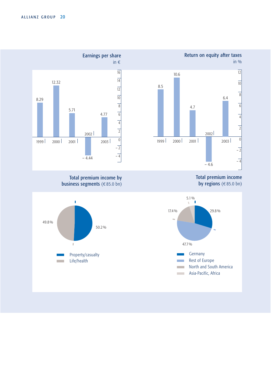

Total premium income by regions  $(685.0 \text{ bn})$ 





Total premium income by business segments ( $€85.0$  bn)

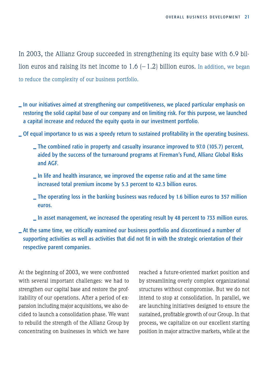In 2003, the Allianz Group succeeded in strengthening its equity base with 6.9 billion euros and raising its net income to  $1.6$  (-1.2) billion euros. In addition, we began to reduce the complexity of our business portfolio.

- **\_** In our initiatives aimed at strengthening our competitiveness, we placed particular emphasis on restoring the solid capital base of our company and on limiting risk. For this purpose, we launched a capital increase and reduced the equity quota in our investment portfolio.
- **\_** Of equal importance to us was a speedy return to sustained profitability in the operating business.
	- **\_** The combined ratio in property and casualty insurance improved to 97.0 (105.7) percent, aided by the success of the turnaround programs at Fireman's Fund, Allianz Global Risks and AGF.
	- **\_** In life and health insurance, we improved the expense ratio and at the same time increased total premium income by 5.3 percent to 42.3 billion euros.
	- **\_** The operating loss in the banking business was reduced by 1.6 billion euros to 357 million euros.
	- **\_** In asset management, we increased the operating result by 48 percent to 733 million euros.
- **\_** At the same time, we critically examined our business portfolio and discontinued a number of supporting activities as well as activities that did not fit in with the strategic orientation of their respective parent companies.

At the beginning of 2003, we were confronted with several important challenges: we had to strengthen our capital base and restore the profitability of our operations. After a period of expansion including major acquisitions, we also decided to launch a consolidation phase. We want to rebuild the strength of the Allianz Group by concentrating on businesses in which we have reached a future-oriented market position and by streamlining overly complex organizational structures without compromise. But we do not intend to stop at consolidation. In parallel, we are launching initiatives designed to ensure the sustained, profitable growth of our Group. In that process, we capitalize on our excellent starting position in major attractive markets, while at the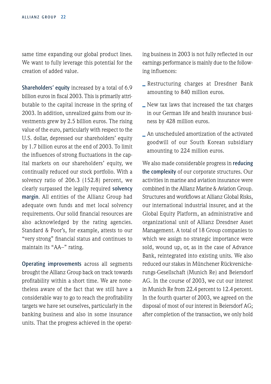same time expanding our global product lines. We want to fully leverage this potential for the creation of added value.

Shareholders' equity increased by a total of 6.9 billion euros in fiscal 2003. This is primarily attributable to the capital increase in the spring of 2003. In addition, unrealized gains from our investments grew by 2.5 billion euros. The rising value of the euro, particularly with respect to the U.S. dollar, depressed our shareholders' equity by 1.7 billion euros at the end of 2003. To limit the influences of strong fluctuations in the capital markets on our shareholders' equity, we continually reduced our stock portfolio. With a solvency ratio of 206.3 (152.8) percent, we clearly surpassed the legally required solvency margin. All entities of the Allianz Group had adequate own funds and met local solvency requirements. Our solid financial resources are also acknowledged by the rating agencies. Standard & Poor's, for example, attests to our "very strong" financial status and continues to maintain its "AA–" rating.

Operating improvements across all segments brought the Allianz Group back on track towards profitability within a short time. We are nonetheless aware of the fact that we still have a considerable way to go to reach the profitability targets we have set ourselves, particularly in the banking business and also in some insurance units. That the progress achieved in the operating business in 2003 is not fully reflected in our earnings performance is mainly due to the following influences:

- **\_** Restructuring charges at Dresdner Bank amounting to 840 million euros.
- **\_** New tax laws that increased the tax charges in our German life and health insurance business by 428 million euros.
- **\_** An unscheduled amortization of the activated goodwill of our South Korean subsidiary amounting to 224 million euros.

We also made considerable progress in reducing the complexity of our corporate structures. Our activities in marine and aviation insurance were combined in the Allianz Marine & Aviation Group. Structures and workflows at Allianz Global Risks, our international industrial insurer, and at the Global Equity Platform, an administrative and organizational unit of Allianz Dresdner Asset Management. A total of 18 Group companies to which we assign no strategic importance were sold, wound up, or, as in the case of Advance Bank, reintegrated into existing units. We also reduced our stakes in Münchener Rückversicherungs-Gesellschaft (Munich Re) and Beiersdorf AG. In the course of 2003, we cut our interest in Munich Re from 22.4 percent to 12.4 percent. In the fourth quarter of 2003, we agreed on the disposal of most of our interest in Beiersdorf AG; after completion of the transaction, we only hold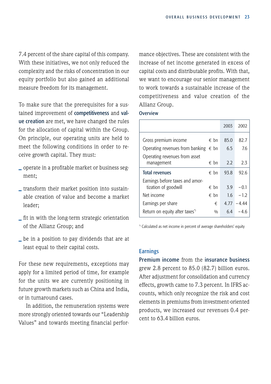7.4 percent of the share capital of this company. With these initiatives, we not only reduced the complexity and the risks of concentration in our equity portfolio but also gained an additional measure freedom for its management.

To make sure that the prerequisites for a sustained improvement of competitiveness and value creation are met, we have changed the rules for the allocation of capital within the Group. On principle, our operating units are held to meet the following conditions in order to receive growth capital. They must:

- **\_** operate in a profitable market or business segment;
- **\_** transform their market position into sustainable creation of value and become a market leader;
- **\_** fit in with the long-term strategic orientation of the Allianz Group; and
- **\_** be in a position to pay dividends that are at least equal to their capital costs.

For these new requirements, exceptions may apply for a limited period of time, for example for the units we are currently positioning in future growth markets such as China and India, or in turnaround cases.

In addition, the remuneration systems were more strongly oriented towards our "Leadership Values" and towards meeting financial performance objectives. These are consistent with the increase of net income generated in excess of capital costs and distributable profits. With that, we want to encourage our senior management to work towards a sustainable increase of the competitiveness and value creation of the Allianz Group.

## **Overview**

|                                                       |     | 2003 | 2002   |
|-------------------------------------------------------|-----|------|--------|
| Gross premium income<br>$\epsilon$ bn                 |     | 85.0 | 82.7   |
| Operating revenues from banking $\epsilon$ bn         |     | 6.5  | 7.6    |
| Operating revenues from asset<br>$∈$ hn<br>management |     | 22   | 2.3    |
| <b>Total revenues</b><br>$\notin$ bn                  |     | 93.8 | 92.6   |
| Earnings before taxes and amor-                       |     |      |        |
| tization of goodwill<br>$\epsilon$ bn                 |     | 39   | $-01$  |
| Net income<br>$\epsilon$ bn                           |     | 16   | $-12$  |
| Earnings per share                                    | €   | 477  | $-444$ |
| Return on equity after taxes <sup>*</sup>             | 0/0 | 64   | -46    |

\*) Calculated as net income in percent of average shareholders' equity

## **Earnings**

Premium income from the insurance business grew 2.8 percent to 85.0 (82.7) billion euros. After adjustment for consolidation and currency effects, growth came to 7.3 percent. In IFRS accounts, which only recognize the risk and cost elements in premiums from investment-oriented products, we increased our revenues 0.4 percent to 63.4 billion euros.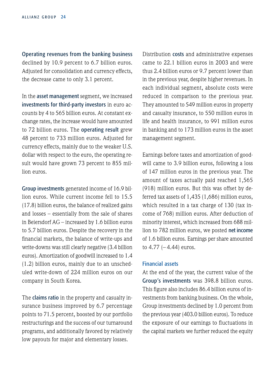Operating revenues from the banking business declined by 10.9 percent to 6.7 billion euros. Adjusted for consolidation and currency effects, the decrease came to only 3.1 percent.

In the asset management segment, we increased investments for third-party investors in euro accounts by 4 to 565 billion euros. At constant exchange rates, the increase would have amounted to 72 billion euros. The operating result grew 48 percent to 733 million euros. Adjusted for currency effects, mainly due to the weaker U.S. dollar with respect to the euro, the operating result would have grown 73 percent to 855 million euros.

Group investments generated income of 16.9 billion euros. While current income fell to 15.5 (17.8) billion euros, the balance of realized gains and losses – essentially from the sale of shares in Beiersdorf AG – increased by 1.6 billion euros to 5.7 billion euros. Despite the recovery in the financial markets, the balance of write-ups and write-downs was still clearly negative (3.4 billion euros). Amortization of goodwill increased to 1.4 (1.2) billion euros, mainly due to an unscheduled write-down of 224 million euros on our company in South Korea.

The claims ratio in the property and casualty insurance business improved by 6.7 percentage points to 71.5 percent, boosted by our portfolio restructurings and the success of our turnaround programs, and additionally favored by relatively low payouts for major and elementary losses.

Distribution costs and administrative expenses came to 22.1 billion euros in 2003 and were thus 2.4 billion euros or 9.7 percent lower than in the previous year, despite higher revenues. In each individual segment, absolute costs were reduced in comparison to the previous year. They amounted to 549 million euros in property and casualty insurance, to 550 million euros in life and health insurance, to 991 million euros in banking and to 173 million euros in the asset management segment.

Earnings before taxes and amortization of goodwill came to 3.9 billion euros, following a loss of 147 million euros in the previous year. The amount of taxes actually paid reached 1,565 (918) million euros. But this was offset by deferred tax assets of 1,435 (1,686) million euros, which resulted in a tax charge of 130 (tax income of 768) million euros. After deduction of minority interest, which increased from 688 million to 782 million euros, we posted net income of 1.6 billion euros. Earnings per share amounted to  $4.77$  ( $-4.44$ ) euros.

## Financial assets

At the end of the year, the current value of the Group's investments was 398.8 billion euros. This figure also includes 86.4 billion euros of investments from banking business. On the whole, Group investments declined by 1.0 percent from the previous year (403.0 billion euros). To reduce the exposure of our earnings to fluctuations in the capital markets we further reduced the equity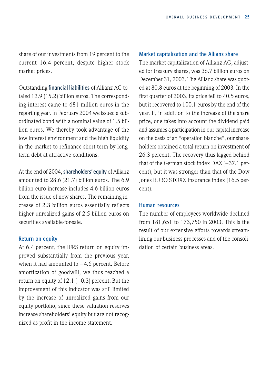share of our investments from 19 percent to the current 16.4 percent, despite higher stock market prices.

Outstanding financial liabilities of Allianz AG totaled 12.9 (15.2) billion euros. The corresponding interest came to 681 million euros in the reporting year. In February 2004 we issued a subordinated bond with a nominal value of 1.5 billion euros. We thereby took advantage of the low interest environment and the high liquidity in the market to refinance short-term by longterm debt at attractive conditions.

At the end of 2004, shareholders' equity of Allianz amounted to 28.6 (21.7) billion euros. The 6.9 billion euro increase includes 4.6 billion euros from the issue of new shares. The remaining increase of 2.3 billion euros essentially reflects higher unrealized gains of 2.5 billion euros on securities available-for-sale.

## Return on equity

At 6.4 percent, the IFRS return on equity improved substantially from the previous year, when it had amounted to  $-4.6$  percent. Before amortization of goodwill, we thus reached a return on equity of  $12.1$  (-0.3) percent. But the improvement of this indicator was still limited by the increase of unrealized gains from our equity portfolio, since these valuation reserves increase shareholders' equity but are not recognized as profit in the income statement.

#### Market capitalization and the Allianz share

The market capitalization of Allianz AG, adjusted for treasury shares, was 36.7 billion euros on December 31, 2003. The Allianz share was quoted at 80.8 euros at the beginning of 2003. In the first quarter of 2003, its price fell to 40.5 euros, but it recovered to 100.1 euros by the end of the year. If, in addition to the increase of the share price, one takes into account the dividend paid and assumes a participation in our capital increase on the basis of an "operation blanche", our shareholders obtained a total return on investment of 26.3 percent. The recovery thus lagged behind that of the German stock index DAX (+37.1 percent), but it was stronger than that of the Dow Jones EURO STOXX Insurance index (16.5 percent).

#### Human resources

The number of employees worldwide declined from 181,651 to 173,750 in 2003. This is the result of our extensive efforts towards streamlining our business processes and of the consolidation of certain business areas.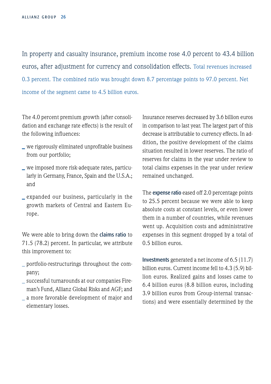<span id="page-27-0"></span>In property and casualty insurance, premium income rose 4.0 percent to 43.4 billion euros, after adjustment for currency and consolidation effects. Total revenues increased 0.3 percent. The combined ratio was brought down 8.7 percentage points to 97.0 percent. Net income of the segment came to 4.5 billion euros.

The 4.0 percent premium growth (after consolidation and exchange rate effects) is the result of the following influences:

- **\_** we rigorously eliminated unprofitable business from our portfolio;
- **\_** we imposed more risk-adequate rates, particularly in Germany, France, Spain and the U.S.A.; and
- **\_** expanded our business, particularly in the growth markets of Central and Eastern Europe.

We were able to bring down the claims ratio to 71.5 (78.2) percent. In particular, we attribute this improvement to:

- \_ portfolio-restructurings throughout the company;
- \_ successful turnarounds at our companies Fireman's Fund, Allianz Global Risks and AGF; and
- a more favorable development of major and elementary losses.

Insurance reserves decreased by 3.6 billion euros in comparison to last year. The largest part of this decrease is attributable to currency effects. In addition, the positive development of the claims situation resulted in lower reserves. The ratio of reserves for claims in the year under review to total claims expenses in the year under review remained unchanged.

The expense ratio eased off 2.0 percentage points to 25.5 percent because we were able to keep absolute costs at constant levels, or even lower them in a number of countries, while revenues went up. Acquisition costs and administrative expenses in this segment dropped by a total of 0.5 billion euros.

Investments generated a net income of 6.5 (11.7) billion euros. Current income fell to 4.3 (5.9) billion euros. Realized gains and losses came to 6.4 billion euros (8.8 billion euros, including 3.9 billion euros from Group-internal transactions) and were essentially determined by the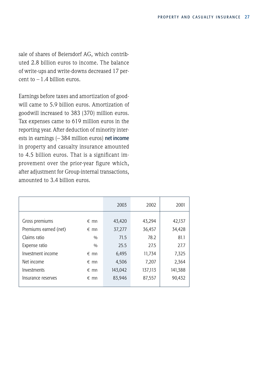sale of shares of Beiersdorf AG, which contributed 2.8 billion euros to income. The balance of write-ups and write-downs decreased 17 per $cent to -1.4$  billion euros.

Earnings before taxes and amortization of goodwill came to 5.9 billion euros. Amortization of goodwill increased to 383 (370) million euros. Tax expenses came to 619 million euros in the reporting year. After deduction of minority interests in earnings (– 384 million euros) net income in property and casualty insurance amounted to 4.5 billion euros. That is a significant improvement over the prior-year figure which, after adjustment for Group-internal transactions, amounted to 3.4 billion euros.

|                       |               | 2003    | 2002    | 2001    |
|-----------------------|---------------|---------|---------|---------|
|                       |               |         |         |         |
| Gross premiums        | $\epsilon$ mn | 43,420  | 43,294  | 42,137  |
| Premiums earned (net) | $\epsilon$ mn | 37,277  | 36,457  | 34,428  |
| Claims ratio          | 0/0           | 71.5    | 78.2    | 81.1    |
| Expense ratio         | 0/0           | 25.5    | 27.5    | 27.7    |
| Investment income     | $\epsilon$ mn | 6,495   | 11,734  | 7,325   |
| Net income            | $\epsilon$ mn | 4,506   | 7,207   | 2,364   |
| Investments           | $\epsilon$ mn | 143,042 | 137.113 | 141,388 |
| Insurance reserves    | $\epsilon$ mn | 83,946  | 87,557  | 90,432  |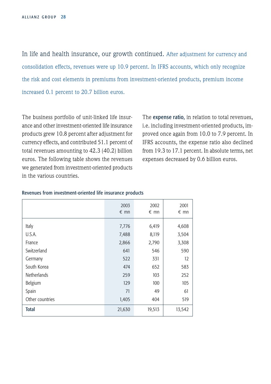<span id="page-29-0"></span>In life and health insurance, our growth continued. After adjustment for currency and consolidation effects, revenues were up 10.9 percent. In IFRS accounts, which only recognize the risk and cost elements in premiums from investment-oriented products, premium income increased 0.1 percent to 20.7 billion euros.

The business portfolio of unit-linked life insurance and other investment-oriented life insurance products grew 10.8 percent after adjustment for currency effects, and contributed 51.1 percent of total revenues amounting to 42.3 (40.2) billion euros. The following table shows the revenues we generated from investment-oriented products in the various countries.

The expense ratio, in relation to total revenues, i.e. including investment-oriented products, improved once again from 10.0 to 7.9 percent. In IFRS accounts, the expense ratio also declined from 19.3 to 17.1 percent. In absolute terms, net expenses decreased by 0.6 billion euros.

|                    | 2003<br>$\epsilon$ mn | 2002<br>$\epsilon$ mn | 2001<br>$\epsilon$ mn |
|--------------------|-----------------------|-----------------------|-----------------------|
| Italy              | 7,776                 | 6,419                 | 4,608                 |
| U.S.A.             | 7,488                 | 8,119                 | 3,504                 |
| France             | 2,866                 | 2,790                 | 3,308                 |
| Switzerland        | 641                   | 546                   | 590                   |
| Germany            | 522                   | 331                   | 12                    |
| South Korea        | 474                   | 652                   | 583                   |
| <b>Netherlands</b> | 259                   | 103                   | 252                   |
| <b>Belgium</b>     | 129                   | 100                   | 105                   |
| Spain              | 71                    | 49                    | 61                    |
| Other countries    | 1,405                 | 404                   | 519                   |
| <b>Total</b>       | 21,630                | 19,513                | 13,542                |

#### Revenues from investment-oriented life insurance products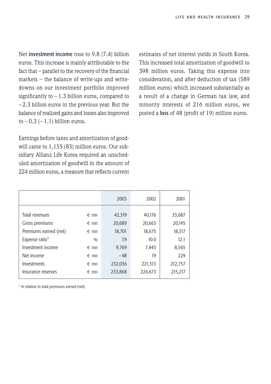Net investment income rose to 9.8 (7.4) billion euros. This increase is mainly attributable to the fact that – parallel to the recovery of the financial markets – the balance of write-ups and writedowns on our investment portfolio improved significantly to  $-1.3$  billion euros, compared to  $-2.3$  billion euros in the previous year. But the balance of realized gains and losses also improved to  $-0.3$   $(-1.1)$  billion euros.

Earnings before taxes and amortization of goodwill came to 1,155 (83) million euros. Our subsidiary Allianz Life Korea required an unscheduled amortization of goodwill in the amount of 224 million euros, a measure that reflects current estimates of net interest yields in South Korea. This increased total amortization of goodwill to 398 million euros. Taking this expense into consideration, and after deduction of tax (589 million euros) which increased substantially as a result of a change in German tax law, and minority interests of 216 million euros, we posted a loss of 48 (profit of 19) million euros.

|                       |               | 2003    | 2002    | 2001    |
|-----------------------|---------------|---------|---------|---------|
|                       |               |         |         |         |
| Total revenues        | $\epsilon$ mn | 42,319  | 40,176  | 33,687  |
| Gross premiums        | $\epsilon$ mn | 20,689  | 20,663  | 20,145  |
| Premiums earned (net) | $\epsilon$ mn | 18,701  | 18,675  | 18,317  |
| Expense ratio*)       | 0/0           | 7.9     | 10.0    | 12.1    |
| Investment income     | $\epsilon$ mn | 9,769   | 7,445   | 8,565   |
| Net income            | $\epsilon$ mn | $-48$   | 19      | 229     |
| Investments           | $\epsilon$ mn | 232,036 | 221,313 | 212,757 |
| Insurance reserves    | $\epsilon$ mn | 233.868 | 224,673 | 215,217 |

\*) In relation to total premiums earned (net)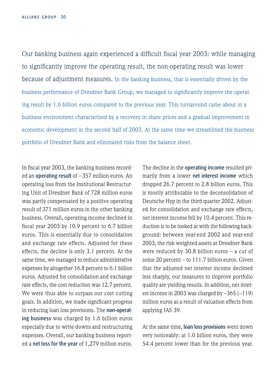<span id="page-31-0"></span>Our banking business again experienced a difficult fiscal year 2003: while managing to significantly improve the operating result, the non-operating result was lower because of adjustment measures. In the banking business, that is essentially driven by the business performance of Dresdner Bank Group, we managed to significantly improve the operating result by 1.6 billion euros compared to the previous year. This turnaround came about in a business environment characterized by a recovery in share prices and a gradual improvement in economic development in the second half of 2003. At the same time we streamlined the business portfolio of Dresdner Bank and eliminated risks from the balance sheet.

In fiscal year 2003, the banking business recorded an operating result of  $-357$  million euros. An operating loss from the Institutional Restructuring Unit of Dresdner Bank of 728 million euros was partly compensated by a positive operating result of 371 million euros in the other banking business. Overall, operating income declined in fiscal year 2003 by 10.9 percent to 6.7 billion euros. This is essentially due to consolidation and exchange rate effects. Adjusted for these effects, the decline is only 3.1 percent. At the same time, we managed to reduce administrative expenses by altogether 16.8 percent to 6.1 billion euros. Adjusted for consolidation and exchange rate effects, the cost reduction was 12.7 percent. We were thus able to surpass our cost cutting goals. In addition, we made significant progress in reducing loan loss provisions. The non-operating business was charged by 1.6 billion euros especially due to write-downs and restructuring expenses. Overall, our banking business reported a net loss for the year of 1,279 million euros.

The decline in the operating income resulted primarily from a lower net interest income which dropped 26.7 percent to 2.8 billion euros. This is mostly attributable to the deconsolidation of Deutsche Hyp in the third quarter 2002. Adjusted for consolidation and exchange rate effects, net interest income fell by 10.4 percent. This reduction is to be looked at with the following background: between year-end 2002 and year-end 2003, the risk weighted assets at Dresdner Bank were reduced by 30.8 billion euros – a cut of some 20 percent – to 111.7 billion euros. Given that the adjusted net interest income declined less sharply, our measures to improve portfolio quality are yielding results. In addition, net interest income in 2003 was charged by  $-365$   $(-119)$ million euros as a result of valuation effects from applying IAS 39.

At the same time, loan loss provisions went down very noticeably: at 1.0 billion euros, they were 54.4 percent lower than for the previous year.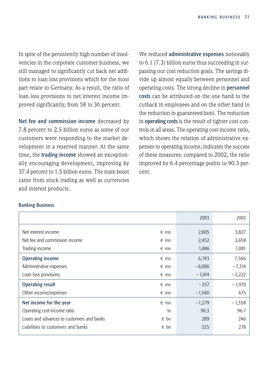In spite of the persistently high number of insolvencies in the corporate customer business, we still managed to significantly cut back net additions to loan loss provisions which for the most part relate to Germany. As a result, the ratio of loan loss provisions to net interest income improved significantly, from 58 to 36 percent.

Net fee and commission income decreased by 7.8 percent to 2.5 billion euros as some of our customers were responding to the market development in a reserved manner. At the same time, the trading income showed an exceptionally encouraging development, improving by 37.4 percent to 1.5 billion euros. The main boost came from stock trading as well as currencies and interest products.

We reduced administrative expenses noticeably to 6.1 (7.3) billion euros thus succeeding in surpassing our cost reduction goals. The savings divide up almost equally between personnel and operating costs. The strong decline in personnel costs can be attributed on the one hand to the cutback in employees and on the other hand to the reduction in guaranteed boni. The reduction in operating costs is the result of tighter cost controls in all areas. The operating cost-income ratio, which shows the relation of administrative expenses to operating income, indicates the success of these measures: compared to 2002, the ratio improved by 6.4 percentage points to 90.3 percent.

## Banking Business

|                                           |               | 2003     | 2002     |
|-------------------------------------------|---------------|----------|----------|
|                                           |               |          |          |
| Net interest income                       | $\epsilon$ mn | 2,805    | 3,827    |
| Net fee and commission income             | $\epsilon$ mn | 2,452    | 2,658    |
| Trading income                            | $\epsilon$ mn | 1,486    | 1,081    |
| Operating income                          | $\epsilon$ mn | 6,743    | 7,566    |
| Administrative expenses                   | $\epsilon$ mn | $-6,086$ | $-7,314$ |
| Loan loss provisions                      | $\epsilon$ mn | $-1,014$ | $-2,222$ |
| Operating result                          | $\epsilon$ mn | $-357$   | $-1,970$ |
| Other income/expenses                     | $\epsilon$ mn | $-1,580$ | 675      |
| Net income for the year                   | $\epsilon$ mn | $-1,279$ | $-1,358$ |
| Operating cost-income ratio               | 0/0           | 90.3     | 96.7     |
| Loans and advances to customers and banks | $\epsilon$ bn | 289      | 246      |
| Liabilities to customers and banks        | $\epsilon$ bn | 325      | 278      |
|                                           |               |          |          |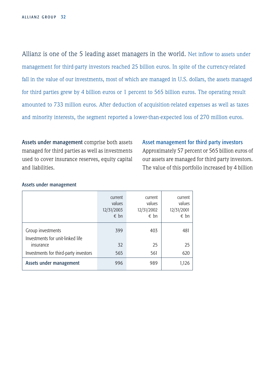<span id="page-33-0"></span>Allianz is one of the 5 leading asset managers in the world. Net inflow to assets under management for third-party investors reached 25 billion euros. In spite of the currency-related fall in the value of our investments, most of which are managed in U.S. dollars, the assets managed for third parties grew by 4 billion euros or 1 percent to 565 billion euros. The operating result amounted to 733 million euros. After deduction of acquisition-related expenses as well as taxes and minority interests, the segment reported a lower-than-expected loss of 270 million euros.

Assets under management comprise both assets managed for third parties as well as investments used to cover insurance reserves, equity capital and liabilities.

Asset management for third party investors

Approximately 57 percent or 565 billion euros of our assets are managed for third party investors. The value of this portfolio increased by 4 billion

## Assets under management

|                                                       | current<br>values<br>12/31/2003<br>$\epsilon$ bn | current<br>values<br>12/31/2002<br>$\epsilon$ bn | current<br>values<br>12/31/2001<br>$\epsilon$ bn |
|-------------------------------------------------------|--------------------------------------------------|--------------------------------------------------|--------------------------------------------------|
| Group investments<br>Investments for unit-linked life | 399                                              | 403                                              | 481                                              |
| insurance                                             | 32                                               | 25                                               | 25                                               |
| Investments for third-party investors                 | 565                                              | 561                                              | 620                                              |
| Assets under management                               | 996                                              | 989                                              | 1,126                                            |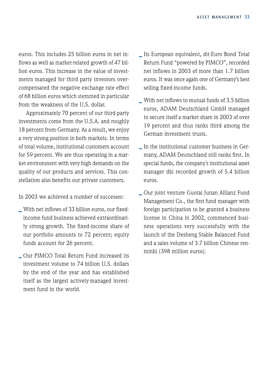euros. This includes 25 billion euros in net inflows as well as market-related growth of 47 billion euros. This increase in the value of investments managed for third party investors overcompensated the negative exchange rate effect of 68 billion euros which stemmed in particular from the weakness of the U.S. dollar

Approximately 70 percent of our third-party investments come from the U.S.A. and roughly 18 percent from Germany. As a result, we enjoy a very strong position in both markets. In terms of total volume, institutional customers account for 59 percent. We are thus operating in a market environment with very high demands on the quality of our products and services. This constellation also benefits our private customers.

In 2003 we achieved a number of successes:

- **\_** With net inflows of 33 billion euros, our fixedincome fund business achieved extraordinarily strong growth. The fixed-income share of our portfolio amounts to 72 percent; equity funds account for 26 percent.
- **\_** Our PIMCO Total Return Fund increased its investment volume to 74 billion U.S. dollars by the end of the year and has established itself as the largest actively-managed investment fund in the world.
- **\_** Its European equivalent, dit-Euro Bond Total Return Fund "powered by PIMCO", recorded net inflows in 2003 of more than 1.7 billion euros. It was once again one of Germany's best selling fixed-income funds.
- **\_** With net inflows to mutual funds of 3.5 billion euros, ADAM Deutschland GmbH managed to secure itself a market share in 2003 of over 19 percent and thus ranks third among the German investment trusts.
- **\_** In the institutional customer business in Germany, ADAM Deutschland still ranks first. In special funds, the company's institutional asset manager dbi recorded growth of 5.4 billion euros.
- **\_** Our joint venture Guotai Junan Allianz Fund Management Co., the first fund manager with foreign participation to be granted a business license in China in 2002, commenced business operations very successfully with the launch of the Desheng Stable Balanced Fund and a sales volume of 3.7 billion Chinese renminbi (398 million euros).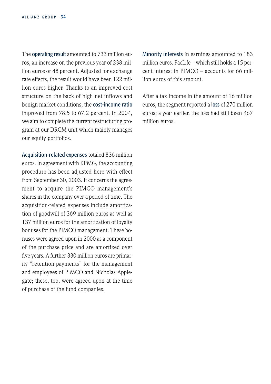The operating result amounted to 733 million euros, an increase on the previous year of 238 million euros or 48 percent. Adjusted for exchange rate effects, the result would have been 122 million euros higher. Thanks to an improved cost structure on the back of high net inflows and benign market conditions, the cost-income ratio improved from 78.5 to 67.2 percent. In 2004, we aim to complete the current restructuring program at our DRCM unit which mainly manages our equity portfolios.

Acquisition-related expenses totaled 836 million euros. In agreement with KPMG, the accounting procedure has been adjusted here with effect from September 30, 2003. It concerns the agreement to acquire the PIMCO management's shares in the company over a period of time. The acquisition-related expenses include amortization of goodwill of 369 million euros as well as 137 million euros for the amortization of loyalty bonuses for the PIMCO management. These bonuses were agreed upon in 2000 as a component of the purchase price and are amortized over five years. A further 330 million euros are primarily "retention payments" for the management and employees of PIMCO and Nicholas Applegate; these, too, were agreed upon at the time of purchase of the fund companies.

Minority interests in earnings amounted to 183 million euros. PacLife – which still holds a 15 percent interest in PIMCO – accounts for 66 million euros of this amount.

After a tax income in the amount of 16 million euros, the segment reported a loss of 270 million euros; a year earlier, the loss had still been 467 million euros.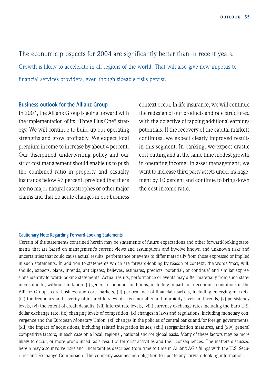<span id="page-36-0"></span>The economic prospects for 2004 are significantly better than in recent years. Growth is likely to accelerate in all regions of the world. That will also give new impetus to financial services providers, even though sizeable risks persist.

#### Business outlook for the Allianz Group

In 2004, the Allianz Group is going forward with the implementation of its "Three Plus One" strategy. We will continue to build up our operating strengths and grow profitably. We expect total premium income to increase by about 4 percent. Our disciplined underwriting policy and our strict cost management should enable us to push the combined ratio in property and casualty insurance below 97 percent, provided that there are no major natural catastrophes or other major claims and that no acute changes in our business context occur. In life insurance, we will continue the redesign of our products and rate structures, with the objective of tapping additional earnings potentials. If the recovery of the capital markets continues, we expect clearly improved results in this segment. In banking, we expect drastic cost-cutting and at the same time modest growth in operating income. In asset management, we want to increase third-party assets under management by 10 percent and continue to bring down the cost-income ratio.

#### Cautionary Note Regarding Forward-Looking Statements

Certain of the statements contained herein may be statements of future expectations and other forward-looking statements that are based on management's current views and assumptions and involve known and unknown risks and uncertainties that could cause actual results, performance or events to differ materially from those expressed or implied in such statements. In addition to statements which are forward-looking by reason of context, the words 'may, will, should, expects, plans, intends, anticipates, believes, estimates, predicts, potential, or continue' and similar expressions identify forward-looking statements. Actual results, performance or events may differ materially from such statements due to, without limitation, (i) general economic conditions, including in particular economic conditions in the Allianz Group's core business and core markets, (ii) performance of financial markets, including emerging markets, (iii) the frequency and severity of insured loss events, (iv) mortality and morbidity levels and trends, (v) persistency levels, (vi) the extent of credit defaults, (vii) interest rate levels, (viii) currency exchange rates including the Euro-U.S. dollar exchange rate, (ix) changing levels of competition, (x) changes in laws and regulations, including monetary convergence and the European Monetary Union, (xi) changes in the policies of central banks and/or foreign governments, (xii) the impact of acquisitions, including related integration issues, (xiii) reorganization measures, and (xiv) general competitive factors, in each case on a local, regional, national and/or global basis. Many of these factors may be more likely to occur, or more pronounced, as a result of terrorist activities and their consequences. The matters discussed herein may also involve risks and uncertainties described from time to time in Allianz AG's filings with the U.S. Securities and Exchange Commission. The company assumes no obligation to update any forward-looking information.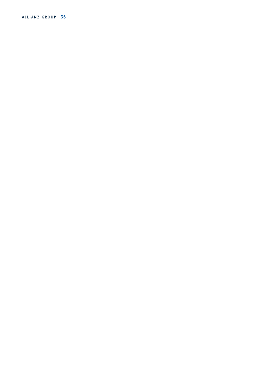ALLIANZ GROUP 36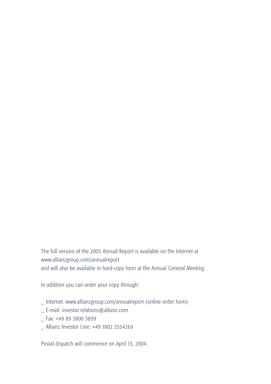The full version of the 2003 Annual Report is available on the Internet at www.allianzgroup.com/annualreport and will also be available in hard-copy form at the Annual General Meeting.

In addition you can order your copy through:

- \_ Internet: www.allianzgroup.com/annualreport (online order form)
- \_ E-mail: investor.relations@allianz.com
- \_ Fax: +49 89 3800 3899
- \_ Allianz Investor Line: +49 1802 2554269

Postal dispatch will commence on April 13, 2004.